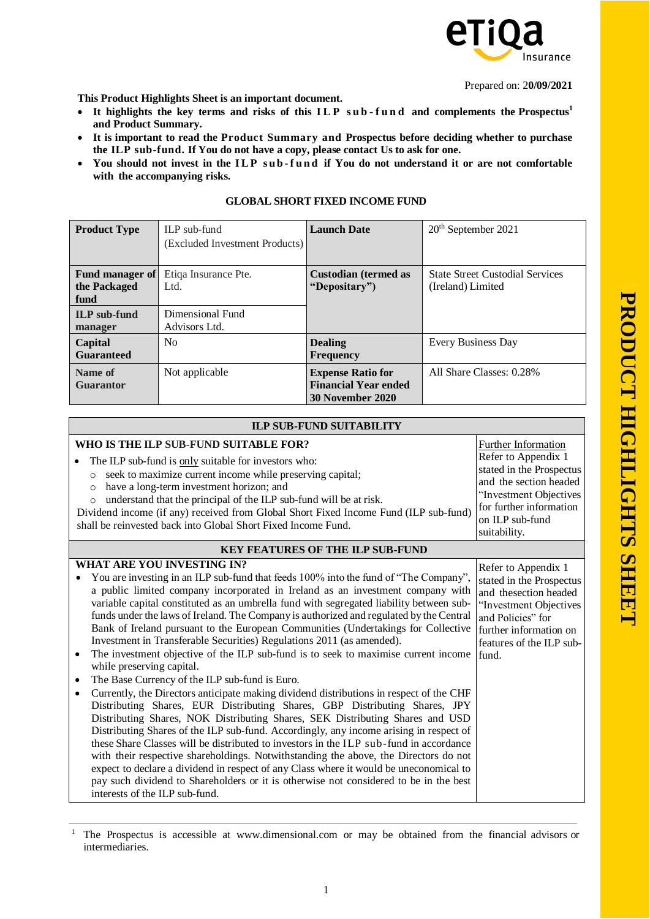

Prepared on: 2**0/09/2021**

**This Product Highlights Sheet is an important document.**

- **It highlights the key terms and risks of this I L P s u b - f u n d and complements the Prospectus<sup>1</sup> and Product Summary.**
- **It is important to read the Product Summary and Prospectus before deciding whether to purchase the ILP sub-fund. If You do not have a copy, please contact Us to ask for one.**
- You should not invest in the ILP sub-fund if You do not understand it or are not comfortable **with the accompanying risks.**

| <b>Product Type</b>                            | ILP sub-fund                      | <b>Launch Date</b>                                                                 | 20 <sup>th</sup> September 2021                             |
|------------------------------------------------|-----------------------------------|------------------------------------------------------------------------------------|-------------------------------------------------------------|
|                                                | (Excluded Investment Products)    |                                                                                    |                                                             |
| <b>Fund manager of</b><br>the Packaged<br>fund | Etiqa Insurance Pte.<br>Ltd.      | <b>Custodian (termed as</b><br>"Depositary")                                       | <b>State Street Custodial Services</b><br>(Ireland) Limited |
| <b>ILP</b> sub-fund<br>manager                 | Dimensional Fund<br>Advisors Ltd. |                                                                                    |                                                             |
| Capital<br><b>Guaranteed</b>                   | N <sub>0</sub>                    | <b>Dealing</b><br><b>Frequency</b>                                                 | Every Business Day                                          |
| Name of<br><b>Guarantor</b>                    | Not applicable                    | <b>Expense Ratio for</b><br><b>Financial Year ended</b><br><b>30 November 2020</b> | All Share Classes: 0.28%                                    |

## **GLOBAL SHORT FIXED INCOME FUND**

| <b>ILP SUB-FUND SUITABILITY</b>                                                                                                                                                                                                                                                                                                                                                                                                                                                                                                                                                                                                                                                                                                                                                                                                                                                                                                                                                                                                                                                                                                                                                                                                                                                                                                                                                                                                                                                                                           |                                                                                                                                                                                                 |  |  |
|---------------------------------------------------------------------------------------------------------------------------------------------------------------------------------------------------------------------------------------------------------------------------------------------------------------------------------------------------------------------------------------------------------------------------------------------------------------------------------------------------------------------------------------------------------------------------------------------------------------------------------------------------------------------------------------------------------------------------------------------------------------------------------------------------------------------------------------------------------------------------------------------------------------------------------------------------------------------------------------------------------------------------------------------------------------------------------------------------------------------------------------------------------------------------------------------------------------------------------------------------------------------------------------------------------------------------------------------------------------------------------------------------------------------------------------------------------------------------------------------------------------------------|-------------------------------------------------------------------------------------------------------------------------------------------------------------------------------------------------|--|--|
| WHO IS THE ILP SUB-FUND SUITABLE FOR?<br>The ILP sub-fund is only suitable for investors who:<br>seek to maximize current income while preserving capital;<br>$\circ$<br>have a long-term investment horizon; and<br>$\circ$<br>understand that the principal of the ILP sub-fund will be at risk.<br>$\circ$<br>Dividend income (if any) received from Global Short Fixed Income Fund (ILP sub-fund)<br>shall be reinvested back into Global Short Fixed Income Fund.                                                                                                                                                                                                                                                                                                                                                                                                                                                                                                                                                                                                                                                                                                                                                                                                                                                                                                                                                                                                                                                    | <b>Further Information</b><br>Refer to Appendix 1<br>stated in the Prospectus<br>and the section headed<br>"Investment Objectives<br>for further information<br>on ILP sub-fund<br>suitability. |  |  |
| <b>KEY FEATURES OF THE ILP SUB-FUND</b>                                                                                                                                                                                                                                                                                                                                                                                                                                                                                                                                                                                                                                                                                                                                                                                                                                                                                                                                                                                                                                                                                                                                                                                                                                                                                                                                                                                                                                                                                   |                                                                                                                                                                                                 |  |  |
| <b>WHAT ARE YOU INVESTING IN?</b><br>You are investing in an ILP sub-fund that feeds 100% into the fund of "The Company",<br>a public limited company incorporated in Ireland as an investment company with<br>variable capital constituted as an umbrella fund with segregated liability between sub-<br>funds under the laws of Ireland. The Company is authorized and regulated by the Central<br>Bank of Ireland pursuant to the European Communities (Undertakings for Collective<br>Investment in Transferable Securities) Regulations 2011 (as amended).<br>The investment objective of the ILP sub-fund is to seek to maximise current income<br>$\bullet$<br>while preserving capital.<br>The Base Currency of the ILP sub-fund is Euro.<br>$\bullet$<br>Currently, the Directors anticipate making dividend distributions in respect of the CHF<br>Distributing Shares, EUR Distributing Shares, GBP Distributing Shares, JPY<br>Distributing Shares, NOK Distributing Shares, SEK Distributing Shares and USD<br>Distributing Shares of the ILP sub-fund. Accordingly, any income arising in respect of<br>these Share Classes will be distributed to investors in the ILP sub-fund in accordance<br>with their respective shareholdings. Notwithstanding the above, the Directors do not<br>expect to declare a dividend in respect of any Class where it would be uneconomical to<br>pay such dividend to Shareholders or it is otherwise not considered to be in the best<br>interests of the ILP sub-fund. | Refer to Appendix 1<br>stated in the Prospectus<br>and thesection headed<br>"Investment Objectives<br>and Policies" for<br>further information on<br>features of the ILP sub-<br>fund.          |  |  |

<sup>&</sup>lt;sup>1</sup> The Prospectus is accessible at [www.dimensional.com](http://www.dimensional.com/) or may be obtained from the financial advisors or intermediaries.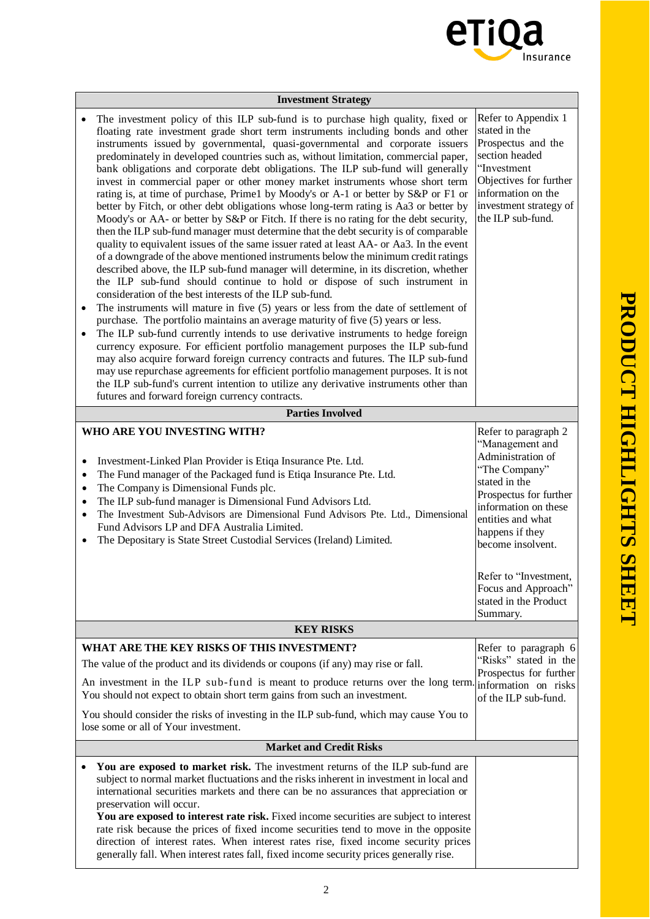

| <b>Investment Strategy</b>                                                                                                                                                                                                                                                                                                                                                                                                                                                                                                                                                                                                                                                                                                                                                                                                                                                                                                                                                                                                                                                                                                                                                                                                                                                                                                                                                                                                                                                                                                                                                                                                                                                                                                                                                                                                                                                                                                                                                                                |  |                                                                                                                                                                                                                                                                                                    |  |
|-----------------------------------------------------------------------------------------------------------------------------------------------------------------------------------------------------------------------------------------------------------------------------------------------------------------------------------------------------------------------------------------------------------------------------------------------------------------------------------------------------------------------------------------------------------------------------------------------------------------------------------------------------------------------------------------------------------------------------------------------------------------------------------------------------------------------------------------------------------------------------------------------------------------------------------------------------------------------------------------------------------------------------------------------------------------------------------------------------------------------------------------------------------------------------------------------------------------------------------------------------------------------------------------------------------------------------------------------------------------------------------------------------------------------------------------------------------------------------------------------------------------------------------------------------------------------------------------------------------------------------------------------------------------------------------------------------------------------------------------------------------------------------------------------------------------------------------------------------------------------------------------------------------------------------------------------------------------------------------------------------------|--|----------------------------------------------------------------------------------------------------------------------------------------------------------------------------------------------------------------------------------------------------------------------------------------------------|--|
| The investment policy of this ILP sub-fund is to purchase high quality, fixed or<br>floating rate investment grade short term instruments including bonds and other<br>instruments issued by governmental, quasi-governmental and corporate issuers<br>predominately in developed countries such as, without limitation, commercial paper,<br>bank obligations and corporate debt obligations. The ILP sub-fund will generally<br>invest in commercial paper or other money market instruments whose short term<br>rating is, at time of purchase, Prime1 by Moody's or A-1 or better by S&P or F1 or<br>better by Fitch, or other debt obligations whose long-term rating is Aa3 or better by<br>Moody's or AA- or better by S&P or Fitch. If there is no rating for the debt security,<br>then the ILP sub-fund manager must determine that the debt security is of comparable<br>quality to equivalent issues of the same issuer rated at least AA- or Aa3. In the event<br>of a downgrade of the above mentioned instruments below the minimum credit ratings<br>described above, the ILP sub-fund manager will determine, in its discretion, whether<br>the ILP sub-fund should continue to hold or dispose of such instrument in<br>consideration of the best interests of the ILP sub-fund.<br>The instruments will mature in five (5) years or less from the date of settlement of<br>$\bullet$<br>purchase. The portfolio maintains an average maturity of five (5) years or less.<br>The ILP sub-fund currently intends to use derivative instruments to hedge foreign<br>$\bullet$<br>currency exposure. For efficient portfolio management purposes the ILP sub-fund<br>may also acquire forward foreign currency contracts and futures. The ILP sub-fund<br>may use repurchase agreements for efficient portfolio management purposes. It is not<br>the ILP sub-fund's current intention to utilize any derivative instruments other than<br>futures and forward foreign currency contracts. |  | Refer to Appendix 1<br>stated in the<br>Prospectus and the<br>section headed<br>"Investment<br>Objectives for further<br>information on the<br>investment strategy of<br>the ILP sub-fund.                                                                                                         |  |
| <b>Parties Involved</b>                                                                                                                                                                                                                                                                                                                                                                                                                                                                                                                                                                                                                                                                                                                                                                                                                                                                                                                                                                                                                                                                                                                                                                                                                                                                                                                                                                                                                                                                                                                                                                                                                                                                                                                                                                                                                                                                                                                                                                                   |  |                                                                                                                                                                                                                                                                                                    |  |
| WHO ARE YOU INVESTING WITH?<br>Investment-Linked Plan Provider is Etiqa Insurance Pte. Ltd.<br>٠<br>The Fund manager of the Packaged fund is Etiqa Insurance Pte. Ltd.<br>$\bullet$<br>The Company is Dimensional Funds plc.<br>$\bullet$<br>The ILP sub-fund manager is Dimensional Fund Advisors Ltd.<br>$\bullet$<br>The Investment Sub-Advisors are Dimensional Fund Advisors Pte. Ltd., Dimensional<br>$\bullet$<br>Fund Advisors LP and DFA Australia Limited.<br>The Depositary is State Street Custodial Services (Ireland) Limited.<br>$\bullet$                                                                                                                                                                                                                                                                                                                                                                                                                                                                                                                                                                                                                                                                                                                                                                                                                                                                                                                                                                                                                                                                                                                                                                                                                                                                                                                                                                                                                                                 |  | Refer to paragraph 2<br>"Management and<br>Administration of<br>"The Company"<br>stated in the<br>Prospectus for further<br>information on these<br>entities and what<br>happens if they<br>become insolvent.<br>Refer to "Investment,<br>Focus and Approach"<br>stated in the Product<br>Summary. |  |
| <b>KEY RISKS</b>                                                                                                                                                                                                                                                                                                                                                                                                                                                                                                                                                                                                                                                                                                                                                                                                                                                                                                                                                                                                                                                                                                                                                                                                                                                                                                                                                                                                                                                                                                                                                                                                                                                                                                                                                                                                                                                                                                                                                                                          |  |                                                                                                                                                                                                                                                                                                    |  |
| WHAT ARE THE KEY RISKS OF THIS INVESTMENT?<br>The value of the product and its dividends or coupons (if any) may rise or fall.<br>An investment in the ILP sub-fund is meant to produce returns over the long term.<br>You should not expect to obtain short term gains from such an investment.<br>You should consider the risks of investing in the ILP sub-fund, which may cause You to<br>lose some or all of Your investment.                                                                                                                                                                                                                                                                                                                                                                                                                                                                                                                                                                                                                                                                                                                                                                                                                                                                                                                                                                                                                                                                                                                                                                                                                                                                                                                                                                                                                                                                                                                                                                        |  | Refer to paragraph 6<br>"Risks" stated in the<br>Prospectus for further<br>information on risks<br>of the ILP sub-fund.                                                                                                                                                                            |  |
| <b>Market and Credit Risks</b>                                                                                                                                                                                                                                                                                                                                                                                                                                                                                                                                                                                                                                                                                                                                                                                                                                                                                                                                                                                                                                                                                                                                                                                                                                                                                                                                                                                                                                                                                                                                                                                                                                                                                                                                                                                                                                                                                                                                                                            |  |                                                                                                                                                                                                                                                                                                    |  |
| You are exposed to market risk. The investment returns of the ILP sub-fund are<br>subject to normal market fluctuations and the risks inherent in investment in local and<br>international securities markets and there can be no assurances that appreciation or<br>preservation will occur.<br>You are exposed to interest rate risk. Fixed income securities are subject to interest<br>rate risk because the prices of fixed income securities tend to move in the opposite<br>direction of interest rates. When interest rates rise, fixed income security prices<br>generally fall. When interest rates fall, fixed income security prices generally rise.                                                                                                                                                                                                                                                                                                                                                                                                                                                                                                                                                                                                                                                                                                                                                                                                                                                                                                                                                                                                                                                                                                                                                                                                                                                                                                                                          |  |                                                                                                                                                                                                                                                                                                    |  |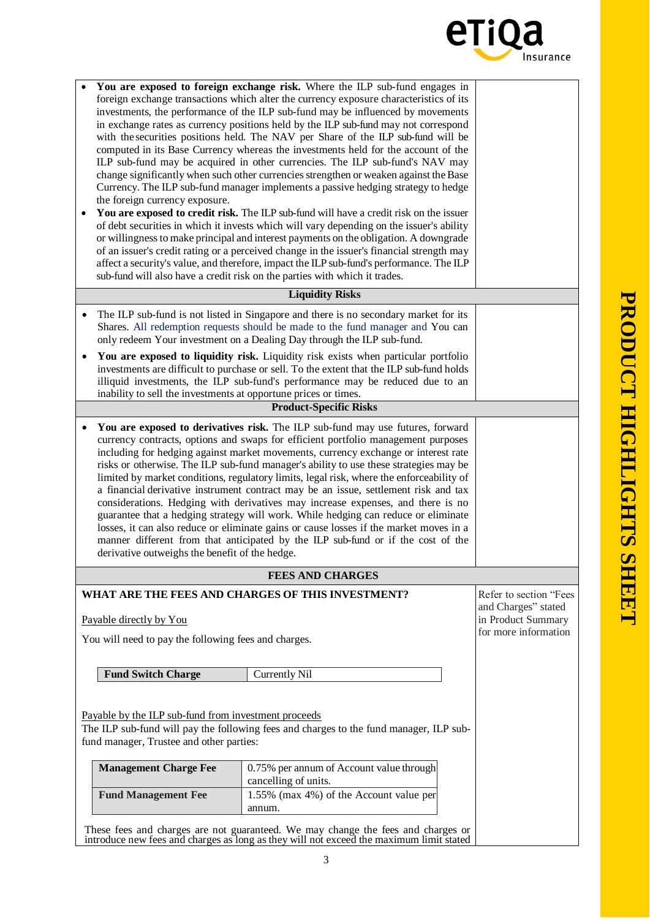

|                                                                                                                                                                                                                                                                                                                                                                                                                                                                                                                                                                                                     | You are exposed to foreign exchange risk. Where the ILP sub-fund engages in<br>foreign exchange transactions which alter the currency exposure characteristics of its<br>investments, the performance of the ILP sub-fund may be influenced by movements<br>in exchange rates as currency positions held by the ILP sub-fund may not correspond<br>with the securities positions held. The NAV per Share of the ILP sub-fund will be<br>computed in its Base Currency whereas the investments held for the account of the<br>ILP sub-fund may be acquired in other currencies. The ILP sub-fund's NAV may<br>change significantly when such other currencies strengthen or weaken against the Base<br>Currency. The ILP sub-fund manager implements a passive hedging strategy to hedge<br>the foreign currency exposure.<br>You are exposed to credit risk. The ILP sub-fund will have a credit risk on the issuer<br>of debt securities in which it invests which will vary depending on the issuer's ability<br>or willingness to make principal and interest payments on the obligation. A downgrade<br>of an issuer's credit rating or a perceived change in the issuer's financial strength may<br>affect a security's value, and therefore, impact the ILP sub-fund's performance. The ILP<br>sub-fund will also have a credit risk on the parties with which it trades. |                                                                                                                                                                          |                                                                                             |  |  |
|-----------------------------------------------------------------------------------------------------------------------------------------------------------------------------------------------------------------------------------------------------------------------------------------------------------------------------------------------------------------------------------------------------------------------------------------------------------------------------------------------------------------------------------------------------------------------------------------------------|---------------------------------------------------------------------------------------------------------------------------------------------------------------------------------------------------------------------------------------------------------------------------------------------------------------------------------------------------------------------------------------------------------------------------------------------------------------------------------------------------------------------------------------------------------------------------------------------------------------------------------------------------------------------------------------------------------------------------------------------------------------------------------------------------------------------------------------------------------------------------------------------------------------------------------------------------------------------------------------------------------------------------------------------------------------------------------------------------------------------------------------------------------------------------------------------------------------------------------------------------------------------------------------------------------------------------------------------------------------------------------|--------------------------------------------------------------------------------------------------------------------------------------------------------------------------|---------------------------------------------------------------------------------------------|--|--|
|                                                                                                                                                                                                                                                                                                                                                                                                                                                                                                                                                                                                     |                                                                                                                                                                                                                                                                                                                                                                                                                                                                                                                                                                                                                                                                                                                                                                                                                                                                                                                                                                                                                                                                                                                                                                                                                                                                                                                                                                                 | <b>Liquidity Risks</b>                                                                                                                                                   |                                                                                             |  |  |
| The ILP sub-fund is not listed in Singapore and there is no secondary market for its<br>$\bullet$<br>Shares. All redemption requests should be made to the fund manager and You can<br>only redeem Your investment on a Dealing Day through the ILP sub-fund.<br>You are exposed to liquidity risk. Liquidity risk exists when particular portfolio<br>investments are difficult to purchase or sell. To the extent that the ILP sub-fund holds<br>illiquid investments, the ILP sub-fund's performance may be reduced due to an<br>inability to sell the investments at opportune prices or times. |                                                                                                                                                                                                                                                                                                                                                                                                                                                                                                                                                                                                                                                                                                                                                                                                                                                                                                                                                                                                                                                                                                                                                                                                                                                                                                                                                                                 |                                                                                                                                                                          |                                                                                             |  |  |
|                                                                                                                                                                                                                                                                                                                                                                                                                                                                                                                                                                                                     |                                                                                                                                                                                                                                                                                                                                                                                                                                                                                                                                                                                                                                                                                                                                                                                                                                                                                                                                                                                                                                                                                                                                                                                                                                                                                                                                                                                 | <b>Product-Specific Risks</b>                                                                                                                                            |                                                                                             |  |  |
| $\bullet$                                                                                                                                                                                                                                                                                                                                                                                                                                                                                                                                                                                           | You are exposed to derivatives risk. The ILP sub-fund may use futures, forward<br>currency contracts, options and swaps for efficient portfolio management purposes<br>including for hedging against market movements, currency exchange or interest rate<br>risks or otherwise. The ILP sub-fund manager's ability to use these strategies may be<br>limited by market conditions, regulatory limits, legal risk, where the enforceability of<br>a financial derivative instrument contract may be an issue, settlement risk and tax<br>considerations. Hedging with derivatives may increase expenses, and there is no<br>guarantee that a hedging strategy will work. While hedging can reduce or eliminate<br>losses, it can also reduce or eliminate gains or cause losses if the market moves in a<br>manner different from that anticipated by the ILP sub-fund or if the cost of the<br>derivative outweighs the benefit of the hedge.                                                                                                                                                                                                                                                                                                                                                                                                                                  |                                                                                                                                                                          |                                                                                             |  |  |
|                                                                                                                                                                                                                                                                                                                                                                                                                                                                                                                                                                                                     |                                                                                                                                                                                                                                                                                                                                                                                                                                                                                                                                                                                                                                                                                                                                                                                                                                                                                                                                                                                                                                                                                                                                                                                                                                                                                                                                                                                 | <b>FEES AND CHARGES</b>                                                                                                                                                  |                                                                                             |  |  |
| WHAT ARE THE FEES AND CHARGES OF THIS INVESTMENT?<br>Payable directly by You<br>You will need to pay the following fees and charges.                                                                                                                                                                                                                                                                                                                                                                                                                                                                |                                                                                                                                                                                                                                                                                                                                                                                                                                                                                                                                                                                                                                                                                                                                                                                                                                                                                                                                                                                                                                                                                                                                                                                                                                                                                                                                                                                 |                                                                                                                                                                          | Refer to section "Fees<br>and Charges" stated<br>in Product Summary<br>for more information |  |  |
|                                                                                                                                                                                                                                                                                                                                                                                                                                                                                                                                                                                                     | <b>Fund Switch Charge</b>                                                                                                                                                                                                                                                                                                                                                                                                                                                                                                                                                                                                                                                                                                                                                                                                                                                                                                                                                                                                                                                                                                                                                                                                                                                                                                                                                       | Currently Nil                                                                                                                                                            |                                                                                             |  |  |
| Payable by the ILP sub-fund from investment proceeds<br>The ILP sub-fund will pay the following fees and charges to the fund manager, ILP sub-<br>fund manager, Trustee and other parties:                                                                                                                                                                                                                                                                                                                                                                                                          |                                                                                                                                                                                                                                                                                                                                                                                                                                                                                                                                                                                                                                                                                                                                                                                                                                                                                                                                                                                                                                                                                                                                                                                                                                                                                                                                                                                 |                                                                                                                                                                          |                                                                                             |  |  |
|                                                                                                                                                                                                                                                                                                                                                                                                                                                                                                                                                                                                     | <b>Management Charge Fee</b>                                                                                                                                                                                                                                                                                                                                                                                                                                                                                                                                                                                                                                                                                                                                                                                                                                                                                                                                                                                                                                                                                                                                                                                                                                                                                                                                                    | 0.75% per annum of Account value through<br>cancelling of units.                                                                                                         |                                                                                             |  |  |
|                                                                                                                                                                                                                                                                                                                                                                                                                                                                                                                                                                                                     | <b>Fund Management Fee</b>                                                                                                                                                                                                                                                                                                                                                                                                                                                                                                                                                                                                                                                                                                                                                                                                                                                                                                                                                                                                                                                                                                                                                                                                                                                                                                                                                      |                                                                                                                                                                          |                                                                                             |  |  |
|                                                                                                                                                                                                                                                                                                                                                                                                                                                                                                                                                                                                     |                                                                                                                                                                                                                                                                                                                                                                                                                                                                                                                                                                                                                                                                                                                                                                                                                                                                                                                                                                                                                                                                                                                                                                                                                                                                                                                                                                                 | These fees and charges are not guaranteed. We may change the fees and charges or introduce new fees and charges as long as they will not exceed the maximum limit stated |                                                                                             |  |  |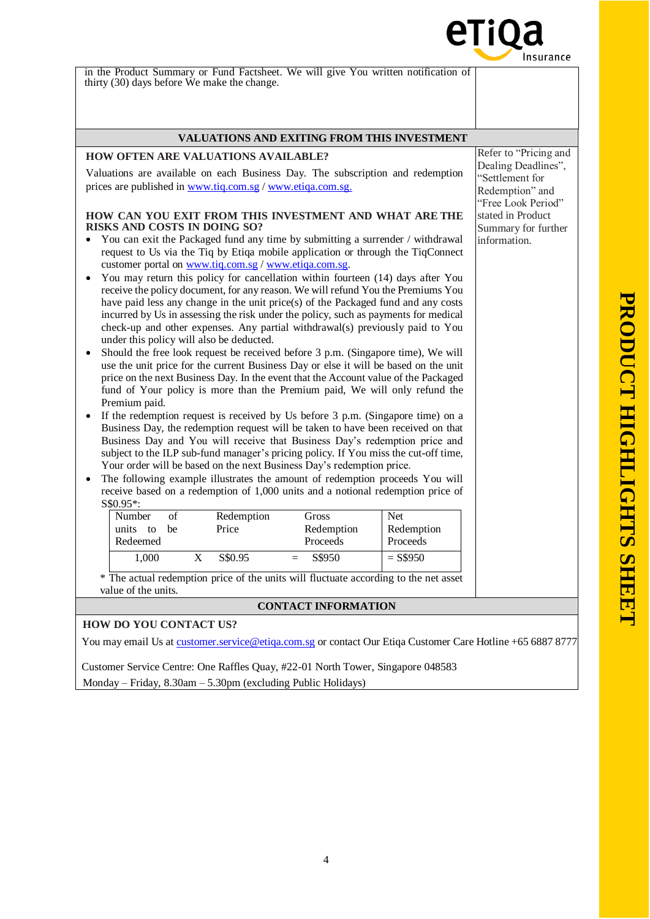

You may email Us a[t customer.service@etiqa.com.sg](mailto:customer.service@etiqa.com.sg) or contact Our Etiqa Customer Care Hotline +65 6887 8777

Customer Service Centre: One Raffles Quay, #22-01 North Tower, Singapore 048583 Monday – Friday, 8.30am – 5.30pm (excluding Public Holidays)